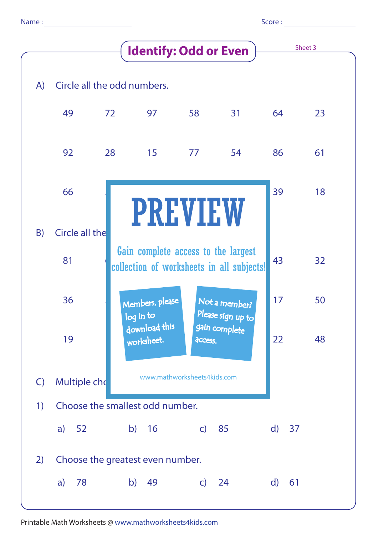| Score: |  |
|--------|--|
|        |  |

|              |                                 |    | Sheet 3                                                                          |              |                                    |    |    |  |  |  |
|--------------|---------------------------------|----|----------------------------------------------------------------------------------|--------------|------------------------------------|----|----|--|--|--|
| A)           | Circle all the odd numbers.     |    |                                                                                  |              |                                    |    |    |  |  |  |
|              | 49                              | 72 | 97                                                                               | 58           | 31                                 | 64 | 23 |  |  |  |
|              | 92                              | 28 | 15                                                                               | 77           | 54                                 | 86 | 61 |  |  |  |
|              | 66                              |    | <b>PREVIEW</b>                                                                   |              |                                    | 39 | 18 |  |  |  |
| B)           | <b>Circle all the</b>           |    |                                                                                  |              |                                    |    |    |  |  |  |
|              | 81                              |    | Gain complete access to the largest<br>collection of worksheets in all subjects! | 43           | 32                                 |    |    |  |  |  |
|              | 36                              |    | Members, please<br>log in to                                                     |              | Not a member?<br>Please sign up to | 17 | 50 |  |  |  |
|              | 19                              |    | download this<br>worksheet.                                                      | access.      | gain complete                      | 22 | 48 |  |  |  |
| $\mathsf{C}$ | Multiple cho                    |    | www.mathworksheets4kids.com                                                      |              |                                    |    |    |  |  |  |
| 1)           | Choose the smallest odd number. |    |                                                                                  |              |                                    |    |    |  |  |  |
|              | a) $52$                         |    | b)<br>16                                                                         | $\mathsf{C}$ | 85                                 | d) | 37 |  |  |  |
| 2)           |                                 |    | Choose the greatest even number.                                                 |              |                                    |    |    |  |  |  |
|              | 78<br>$\mathsf{a}$              |    | b)<br>49                                                                         | $\mathsf{C}$ | 24                                 | d) | 61 |  |  |  |